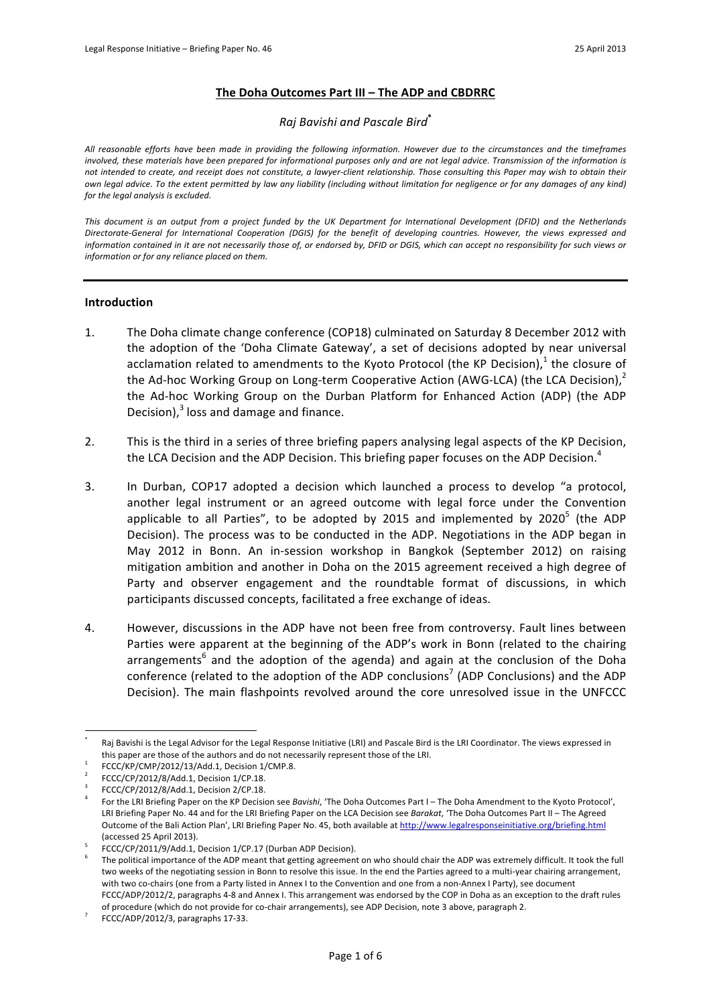# **The Doha Outcomes Part III – The ADP and CBDRRC**

### *Raj!Bavishi!and!Pascale!Bird***\***

All reasonable efforts have been made in providing the following information. However due to the circumstances and the timeframes involved, these materials have been prepared for informational purposes only and are not legal advice. Transmission of the information is *not intended to create, and receipt does not constitute, a lawyer-client relationship. Those consulting this Paper may wish to obtain their* own legal advice. To the extent permitted by law any liability (including without limitation for negligence or for any damages of any kind) *for the legal analysis is excluded.* 

*This document is an output from a project funded by the UK Department for International Development (DFID) and the Netherlands* Directorate-General for International Cooperation (DGIS) for the benefit of developing countries. However, the views expressed and information contained in it are not necessarily those of, or endorsed by, DFID or DGIS, which can accept no responsibility for such views or information or for any reliance placed on them.

### **Introduction**

- 1. The Doha climate change conference (COP18) culminated on Saturday 8 December 2012 with the adoption of the 'Doha Climate Gateway', a set of decisions adopted by near universal acclamation related to amendments to the Kyoto Protocol (the KP Decision),<sup>1</sup> the closure of the Ad-hoc Working Group on Long-term Cooperative Action (AWG-LCA) (the LCA Decision),<sup>2</sup> the Ad-hoc Working Group on the Durban Platform for Enhanced Action (ADP) (the ADP Decision), $3$  loss and damage and finance.
- 2. This is the third in a series of three briefing papers analysing legal aspects of the KP Decision, the LCA Decision and the ADP Decision. This briefing paper focuses on the ADP Decision.<sup>4</sup>
- 3. In Durban, COP17 adopted a decision which launched a process to develop "a protocol, another legal instrument or an agreed outcome with legal force under the Convention applicable to all Parties", to be adopted by 2015 and implemented by 2020<sup>5</sup> (the ADP Decision). The process was to be conducted in the ADP. Negotiations in the ADP began in May 2012 in Bonn. An in-session workshop in Bangkok (September 2012) on raising mitigation ambition and another in Doha on the 2015 agreement received a high degree of Party and observer engagement and the roundtable format of discussions, in which participants discussed concepts, facilitated a free exchange of ideas.
- 4. However, discussions in the ADP have not been free from controversy. Fault lines between Parties were apparent at the beginning of the ADP's work in Bonn (related to the chairing arrangements<sup>6</sup> and the adoption of the agenda) and again at the conclusion of the Doha conference (related to the adoption of the ADP conclusions<sup>7</sup> (ADP Conclusions) and the ADP Decision). The main flashpoints revolved around the core unresolved issue in the UNFCCC

 $\overline{a}$ 

Raj Bavishi is the Legal Advisor for the Legal Response Initiative (LRI) and Pascale Bird is the LRI Coordinator. The views expressed in this paper are those of the authors and do not necessarily represent those of the LRI. FCCC/KP/CMP/2012/13/Add.1, Decision 1/CMP.8.

FCCC/CP/2012/8/Add.1, Decision 1/CP.18.

FCCC/CP/2012/8/Add.1, Decision 2/CP.18.

For the LRI Briefing Paper on the KP Decision see *Bavishi*, 'The Doha Outcomes Part I – The Doha Amendment to the Kyoto Protocol'. LRI Briefing Paper No. 44 and for the LRI Briefing Paper on the LCA Decision see Barakat, 'The Doha Outcomes Part II - The Agreed Outcome of the Bali Action Plan', LRI Briefing Paper No. 45, both available at http://www.legalresponseinitiative.org/briefing.html (accessed 25 April 2013).

FCCC/CP/2011/9/Add.1, Decision 1/CP.17 (Durban ADP Decision). 6 The political chaire the ADP was extremely difficult. It took the full<br>The political importance of the ADP meant that getting agreement on who should chair th two weeks of the negotiating session in Bonn to resolve this issue. In the end the Parties agreed to a multi-vear chairing arrangement, with two co-chairs (one from a Party listed in Annex I to the Convention and one from a non-Annex I Party), see document FCCC/ADP/2012/2, paragraphs 4-8 and Annex I. This arrangement was endorsed by the COP in Doha as an exception to the draft rules of procedure (which do not provide for co-chair arrangements), see ADP Decision, note 3 above, paragraph 2.

FCCC/ADP/2012/3, paragraphs 17-33.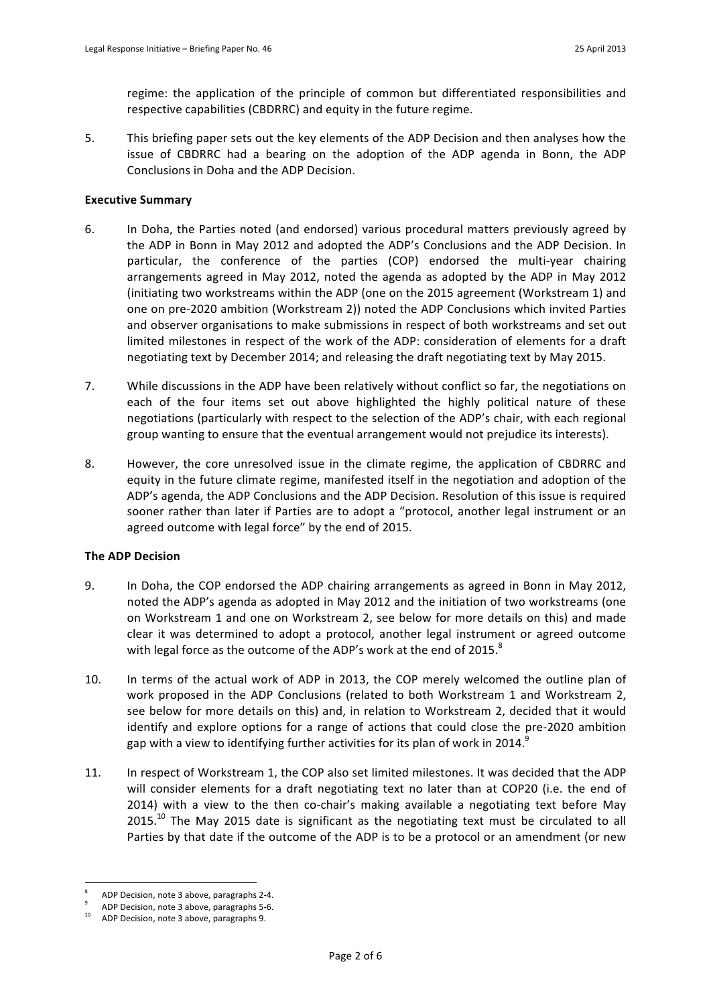regime: the application of the principle of common but differentiated responsibilities and respective capabilities (CBDRRC) and equity in the future regime.

5. This briefing paper sets out the key elements of the ADP Decision and then analyses how the issue of CBDRRC had a bearing on the adoption of the ADP agenda in Bonn, the ADP Conclusions in Doha and the ADP Decision.

# **Executive Summary**

- 6. In Doha, the Parties noted (and endorsed) various procedural matters previously agreed by the ADP in Bonn in May 2012 and adopted the ADP's Conclusions and the ADP Decision. In particular, the conference of the parties (COP) endorsed the multi-year chairing arrangements agreed in May 2012, noted the agenda as adopted by the ADP in May 2012 (initiating two workstreams within the ADP (one on the 2015 agreement (Workstream 1) and one on pre-2020 ambition (Workstream 2)) noted the ADP Conclusions which invited Parties and observer organisations to make submissions in respect of both workstreams and set out limited milestones in respect of the work of the ADP: consideration of elements for a draft negotiating text by December 2014; and releasing the draft negotiating text by May 2015.
- 7. While discussions in the ADP have been relatively without conflict so far, the negotiations on each of the four items set out above highlighted the highly political nature of these negotiations (particularly with respect to the selection of the ADP's chair, with each regional group wanting to ensure that the eventual arrangement would not prejudice its interests).
- 8. However, the core unresolved issue in the climate regime, the application of CBDRRC and equity in the future climate regime, manifested itself in the negotiation and adoption of the ADP's agenda, the ADP Conclusions and the ADP Decision. Resolution of this issue is required sooner rather than later if Parties are to adopt a "protocol, another legal instrument or an agreed outcome with legal force" by the end of 2015.

# **The ADP Decision**

- 9. In Doha, the COP endorsed the ADP chairing arrangements as agreed in Bonn in May 2012. noted the ADP's agenda as adopted in May 2012 and the initiation of two workstreams (one on Workstream 1 and one on Workstream 2, see below for more details on this) and made clear it was determined to adopt a protocol, another legal instrument or agreed outcome with legal force as the outcome of the ADP's work at the end of 2015.<sup>8</sup>
- 10. In terms of the actual work of ADP in 2013, the COP merely welcomed the outline plan of work proposed in the ADP Conclusions (related to both Workstream 1 and Workstream 2, see below for more details on this) and, in relation to Workstream 2, decided that it would identify and explore options for a range of actions that could close the pre-2020 ambition gap with a view to identifying further activities for its plan of work in 2014.<sup>9</sup>
- 11. In respect of Workstream 1, the COP also set limited milestones. It was decided that the ADP will consider elements for a draft negotiating text no later than at COP20 (i.e. the end of 2014) with a view to the then co-chair's making available a negotiating text before May  $2015$ .<sup>10</sup> The May 2015 date is significant as the negotiating text must be circulated to all Parties by that date if the outcome of the ADP is to be a protocol or an amendment (or new

 $\overline{a}$ 

ADP Decision, note 3 above, paragraphs 2-4.

ADP Decision, note 3 above, paragraphs 5-6.

ADP Decision, note 3 above, paragraphs 9.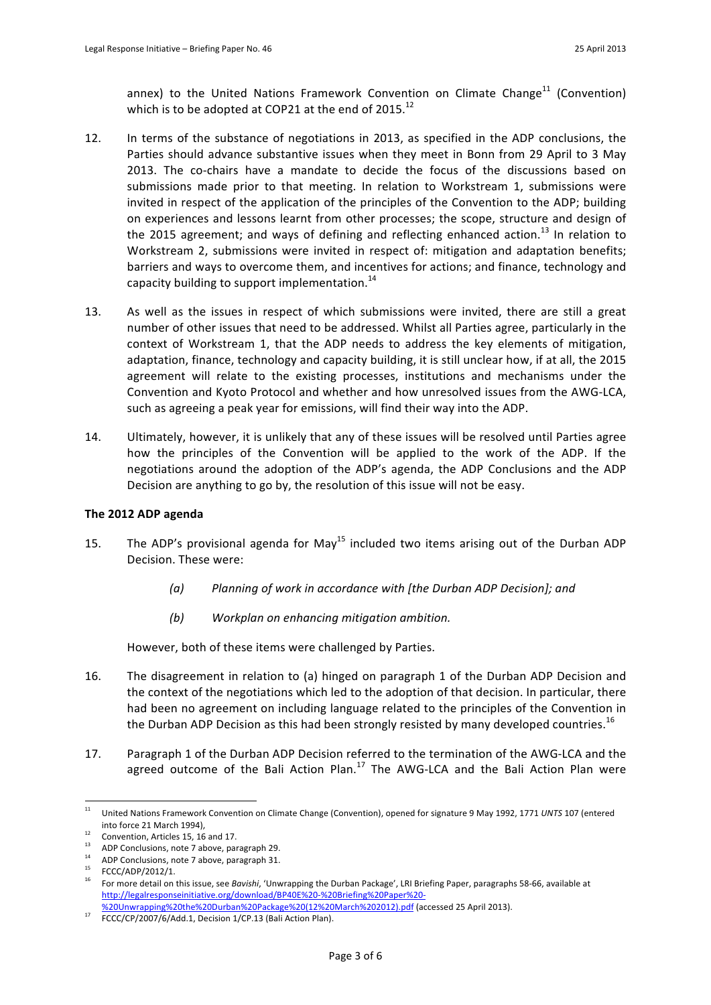annex) to the United Nations Framework Convention on Climate Change<sup>11</sup> (Convention) which is to be adopted at COP21 at the end of 2015.<sup>12</sup>

- 12. In terms of the substance of negotiations in 2013, as specified in the ADP conclusions, the Parties should advance substantive issues when they meet in Bonn from 29 April to 3 May 2013. The co-chairs have a mandate to decide the focus of the discussions based on submissions made prior to that meeting. In relation to Workstream 1, submissions were invited in respect of the application of the principles of the Convention to the ADP; building on experiences and lessons learnt from other processes; the scope, structure and design of the 2015 agreement; and ways of defining and reflecting enhanced action.<sup>13</sup> In relation to Workstream 2, submissions were invited in respect of: mitigation and adaptation benefits; barriers and ways to overcome them, and incentives for actions; and finance, technology and capacity building to support implementation.<sup>14</sup>
- 13. As well as the issues in respect of which submissions were invited, there are still a great number of other issues that need to be addressed. Whilst all Parties agree, particularly in the context of Workstream 1, that the ADP needs to address the key elements of mitigation, adaptation, finance, technology and capacity building, it is still unclear how, if at all, the 2015 agreement will relate to the existing processes, institutions and mechanisms under the Convention and Kyoto Protocol and whether and how unresolved issues from the AWG-LCA, such as agreeing a peak year for emissions, will find their way into the ADP.
- 14. Ultimately, however, it is unlikely that any of these issues will be resolved until Parties agree how the principles of the Convention will be applied to the work of the ADP. If the negotiations around the adoption of the ADP's agenda, the ADP Conclusions and the ADP Decision are anything to go by, the resolution of this issue will not be easy.

### The 2012 ADP agenda

- 15. The ADP's provisional agenda for May<sup>15</sup> included two items arising out of the Durban ADP Decision. These were:
	- (a) Planning of work in accordance with [the Durban ADP Decision]; and
	- *(b)* Workplan on enhancing mitigation ambition.

However, both of these items were challenged by Parties.

- 16. The disagreement in relation to (a) hinged on paragraph 1 of the Durban ADP Decision and the context of the negotiations which led to the adoption of that decision. In particular, there had been no agreement on including language related to the principles of the Convention in the Durban ADP Decision as this had been strongly resisted by many developed countries.<sup>16</sup>
- 17. Paragraph 1 of the Durban ADP Decision referred to the termination of the AWG-LCA and the agreed outcome of the Bali Action Plan.<sup>17</sup> The AWG-LCA and the Bali Action Plan were

 $11\,$ United Nations Framework Convention on Climate Change (Convention), opened for signature 9 May 1992, 1771 UNTS 107 (entered into force 21 March 1994),<br><sup>12</sup> Convention, Articles 15, 16 and 17.

<sup>&</sup>lt;sup>13</sup> ADP Conclusions, note 7 above, paragraph 29.

<sup>&</sup>lt;sup>14</sup> ADP Conclusions, note 7 above, paragraph 31.<br><sup>15</sup> FCCC/ADP/2012/1.

<sup>&</sup>lt;sup>16</sup> For more detail on this issue, see *Bavishi*, 'Unwrapping the Durban Package', LRI Briefing Paper, paragraphs 58-66, available at http://legalresponseinitiative.org/download/BP40E%20-%20Briefing%20Paper%20-

<sup>%20</sup>Unwrapping%20the%20Durban%20Package%20(12%20March%202012).pdf (accessed 25 April 2013).

FCCC/CP/2007/6/Add.1, Decision 1/CP.13 (Bali Action Plan).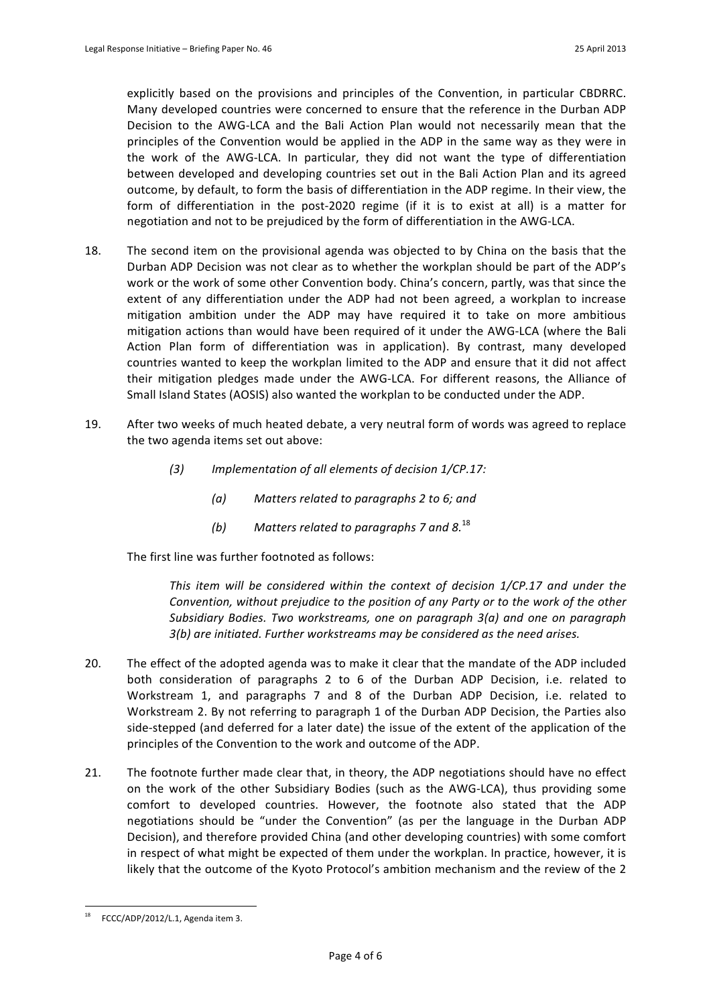explicitly based on the provisions and principles of the Convention, in particular CBDRRC. Many developed countries were concerned to ensure that the reference in the Durban ADP Decision to the AWG-LCA and the Bali Action Plan would not necessarily mean that the principles of the Convention would be applied in the ADP in the same way as they were in the work of the AWG-LCA. In particular, they did not want the type of differentiation between developed and developing countries set out in the Bali Action Plan and its agreed outcome, by default, to form the basis of differentiation in the ADP regime. In their view, the form of differentiation in the post-2020 regime (if it is to exist at all) is a matter for negotiation and not to be prejudiced by the form of differentiation in the AWG-LCA.

- 18. The second item on the provisional agenda was objected to by China on the basis that the Durban ADP Decision was not clear as to whether the workplan should be part of the ADP's work or the work of some other Convention body. China's concern, partly, was that since the extent of any differentiation under the ADP had not been agreed, a workplan to increase mitigation ambition under the ADP may have required it to take on more ambitious mitigation actions than would have been required of it under the AWG-LCA (where the Bali Action Plan form of differentiation was in application). By contrast, many developed countries wanted to keep the workplan limited to the ADP and ensure that it did not affect their mitigation pledges made under the AWG-LCA. For different reasons, the Alliance of Small Island States (AOSIS) also wanted the workplan to be conducted under the ADP.
- 19. After two weeks of much heated debate, a very neutral form of words was agreed to replace the two agenda items set out above:
	- *(3) Implementation of all elements of decision 1/CP.17:* 
		- *(a) Matters!related!to!paragraphs!2!to!6;!and*
		- *(b) Matters related to paragraphs 7 and 8.***<sup>18</sup>**

The first line was further footnoted as follows:

*This item will be considered within the context of decision 1/CP.17 and under the Convention, without prejudice to the position of any Party or to the work of the other Subsidiary Bodies. Two workstreams, one on paragraph 3(a) and one on paragraph 3(b) are initiated. Further workstreams may be considered as the need arises.* 

- 20. The effect of the adopted agenda was to make it clear that the mandate of the ADP included both consideration of paragraphs 2 to 6 of the Durban ADP Decision, i.e. related to Workstream 1, and paragraphs 7 and 8 of the Durban ADP Decision, i.e. related to Workstream 2. By not referring to paragraph 1 of the Durban ADP Decision, the Parties also side-stepped (and deferred for a later date) the issue of the extent of the application of the principles of the Convention to the work and outcome of the ADP.
- 21. The footnote further made clear that, in theory, the ADP negotiations should have no effect on the work of the other Subsidiary Bodies (such as the AWG-LCA), thus providing some comfort to developed countries. However, the footnote also stated that the ADP negotiations should be "under the Convention" (as per the language in the Durban ADP Decision), and therefore provided China (and other developing countries) with some comfort in respect of what might be expected of them under the workplan. In practice, however, it is likely that the outcome of the Kyoto Protocol's ambition mechanism and the review of the 2

FCCC/ADP/2012/L.1, Agenda item 3.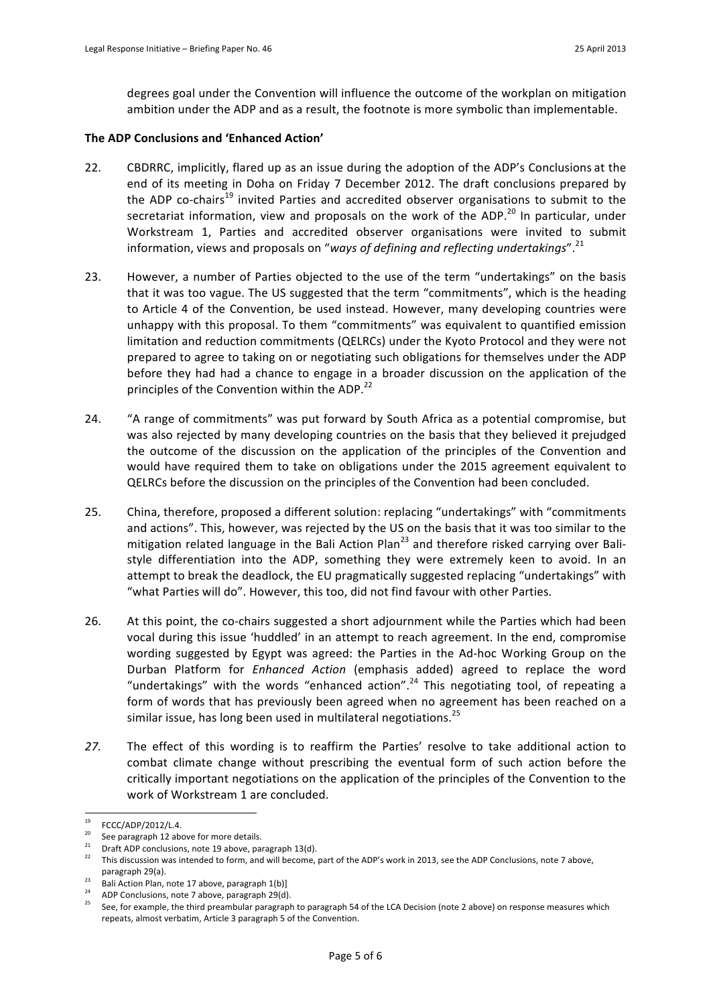degrees goal under the Convention will influence the outcome of the workplan on mitigation ambition under the ADP and as a result, the footnote is more symbolic than implementable.

## **The!ADP!Conclusions!and!'Enhanced!Action'**

- 22. CBDRRC, implicitly, flared up as an issue during the adoption of the ADP's Conclusions at the end of its meeting in Doha on Friday 7 December 2012. The draft conclusions prepared by the ADP co-chairs<sup>19</sup> invited Parties and accredited observer organisations to submit to the secretariat information, view and proposals on the work of the ADP.<sup>20</sup> In particular, under Workstream 1, Parties and accredited observer organisations were invited to submit information, views and proposals on "ways of defining and reflecting undertakings".<sup>21</sup>
- 23. However, a number of Parties objected to the use of the term "undertakings" on the basis that it was too vague. The US suggested that the term "commitments", which is the heading to Article 4 of the Convention, be used instead. However, many developing countries were unhappy with this proposal. To them "commitments" was equivalent to quantified emission limitation and reduction commitments (QELRCs) under the Kyoto Protocol and they were not prepared to agree to taking on or negotiating such obligations for themselves under the ADP before they had had a chance to engage in a broader discussion on the application of the principles of the Convention within the ADP.<sup>22</sup>
- 24. "A range of commitments" was put forward by South Africa as a potential compromise, but was also rejected by many developing countries on the basis that they believed it prejudged the outcome of the discussion on the application of the principles of the Convention and would have required them to take on obligations under the 2015 agreement equivalent to QELRCs before the discussion on the principles of the Convention had been concluded.
- 25. China, therefore, proposed a different solution: replacing "undertakings" with "commitments" and actions". This, however, was rejected by the US on the basis that it was too similar to the mitigation related language in the Bali Action Plan<sup>23</sup> and therefore risked carrying over Balistyle differentiation into the ADP, something they were extremely keen to avoid. In an attempt to break the deadlock, the EU pragmatically suggested replacing "undertakings" with "what Parties will do". However, this too, did not find favour with other Parties.
- 26. At this point, the co-chairs suggested a short adjournment while the Parties which had been vocal during this issue 'huddled' in an attempt to reach agreement. In the end, compromise wording suggested by Egypt was agreed: the Parties in the Ad-hoc Working Group on the Durban Platform for *Enhanced Action* (emphasis added) agreed to replace the word "undertakings" with the words "enhanced action".<sup>24</sup> This negotiating tool, of repeating a form of words that has previously been agreed when no agreement has been reached on a similar issue, has long been used in multilateral negotiations.<sup>25</sup>
- 27. The effect of this wording is to reaffirm the Parties' resolve to take additional action to combat climate change without prescribing the eventual form of such action before the critically important negotiations on the application of the principles of the Convention to the work of Workstream 1 are concluded.

 $19$  $^{19}$  FCCC/ADP/2012/L.4.

<sup>&</sup>lt;sup>20</sup> See paragraph 12 above for more details.

<sup>21</sup> Draft ADP conclusions, note 19 above, paragraph 13(d). 22 Demonton and was also see the ADP Conclusions, note 7 above,  $\frac{22}{100}$  This discussion was intended to form, and will become, part of the ADP's work in 2013, paragraph 29(a).

<sup>&</sup>lt;sup>23</sup> Bali Action Plan, note 17 above, paragraph 1(b)] <sup>24</sup> ADP Conclusions, note 7 above, paragraph 29(d).

See, for example, the third preambular paragraph to paragraph 54 of the LCA Decision (note 2 above) on response measures which repeats, almost verbatim, Article 3 paragraph 5 of the Convention.